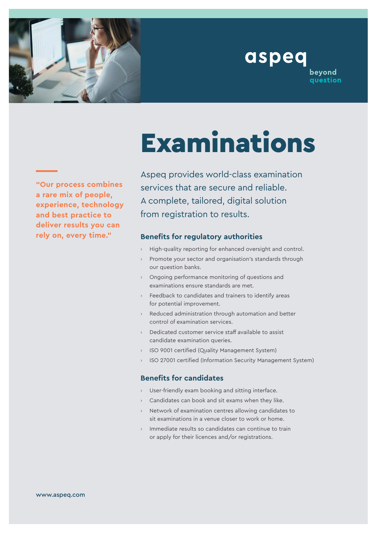

beyond question



## Examinations

**"Our process combines a rare mix of people, experience, technology and best practice to deliver results you can rely on, every time."**

Aspeq provides world-class examination services that are secure and reliable. A complete, tailored, digital solution from registration to results.

## **Benefits for regulatory authorities**

- High-quality reporting for enhanced oversight and control.
- Promote your sector and organisation's standards through our question banks.
- › Ongoing performance monitoring of questions and examinations ensure standards are met.
- › Feedback to candidates and trainers to identify areas for potential improvement.
- › Reduced administration through automation and better control of examination services.
- › Dedicated customer service staff available to assist candidate examination queries.
- › ISO 9001 certified (Quality Management System)
- ISO 27001 certified (Information Security Management System)

## **Benefits for candidates**

- User-friendly exam booking and sitting interface.
- Candidates can book and sit exams when they like.
- Network of examination centres allowing candidates to sit examinations in a venue closer to work or home.
- Immediate results so candidates can continue to train or apply for their licences and/or registrations.